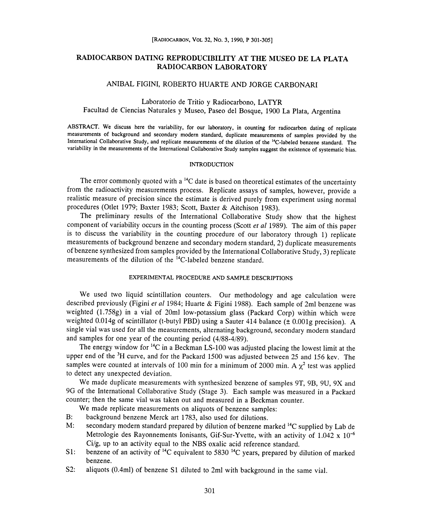# RADIOCARBON DATING REPRODUCIBILITY AT THE MUSEO DE LA PLATA RADIOCARBON LABORATORY RADIOCARBON LABORATORY

# ANIBAL FIGINI, ROBERTO HUARTE AND JORGE CARBONARI FIGINI, ROBERTO HUARTE AND JORGE CARBO<br>Laboratorio de Tritio y Radiocarbono, LATYR

Facultad de Ciencias Naturales y Museo, Paseo del Bosque, 1900 La Plata, Argentina

ABSTRACT. We discuss here the variability, for our laboratory, in counting for radiocarbon dating of replicate measurements of background and secondary modern standard, duplicate measurements of samples provided by the measurements of background and secondary modern standard, duplicate measurements of samples provided by the<br>International Collaborative Study, and replicate measurements of the dilution of the <sup>14</sup>C-labeled benzene standar variability in the measurements of the International Collaborative Study samples suggest the existence of systematic bias.

# INTRODUCTION INTRODUCTION

The error commonly quoted with a  $\rm{^{14}C}$  date is based on theoretical estimates of the uncertainty from the radioactivity measurements process. Replicate assays of samples, however, provide a realistic measure of precision since the estimate is derived purely from experiment using normal procedures (Otlet 1979; Baxter 1983; Scott, Baxter & Aitchison 1983). procedures (Otlet 1979; Baxter 1983; Scott, Baxter & Aitchison 1983).

The preliminary results of the International Collaborative Study show that the highest The preliminary results of the International Collaborative Study show that the highest component of variability occurs in the counting process (Scott *et al* 1989). The aim of this paper is to discuss the variability in the counting procedure of our laboratory through 1) replicate measurements of background benzene and secondary modern standard, 2) duplicate measurements measurements of background benzene and secondary modern standard, 2) duplicate measurements<br>of benzene synthesized from samples provided by the International Collaborative Study, 3) replicate measurements of the dilution of the 14C-labeled benzene standard.

# EXPERIMENTAL PROCEDURE AND SAMPLE DESCRIPTIONS PROCEDURE AND SAMPLE DESCRIPTIONS

We used two liquid scintillation counters. Our methodology and age calculation were We used two liquid scintillation counters. Our methodology and age calculation were described previously (Figini *et al* 1984; Huarte & Figini 1988). Each sample of 2ml benzene was weighted (1.758g) in a vial of 2Oml low-potassium glass (Packard Corp) within which were weighted (1.758g) in a vial of 20ml low-potassium glass (Packard Corp) within which were weighted 0.014g of scintillator (t-butyl PBD) using a Sauter 414 balance ( $\pm$  0.001g precision). A single vial was used for all the measurements, alternating background, secondary modern standard<br>and samples for one year of the counting period (4/88-4/89). and samples for one year of the counting period (4/88-4/89).

The energy window for  $^{14}C$  in a Beckman LS-100 was adjusted placing the lowest limit at the upper end of the <sup>3</sup>H curve, and for the Packard 1500 was adjusted between 25 and 156 kev. The samples were counted at intervals of 100 min for a minimum of 2000 min. A  $\chi^2$  test was applied to detect any unexpected deviation.

etect any unexpected deviation.<br>We made duplicate measurements with synthesized benzene of samples 9T, 9B, 9U, 9X and 9G of the International Collaborative Study (Stage 3). Each sample was measured in a Packard counter; then the same vial was taken out and measured in a Beckman counter.<br>We made replicate measurements on aliquots of benzene samples:

We made replicate measurements on aliquots of benzene samples:

- B: background benzene Merck art 1783, also used for dilutions.
- M: secondary modern standard prepared by dilution of benzene marked <sup>14</sup>C supplied by Lab de secondary modern standard prepared by dilution of benzene marked <sup>14</sup>C supplied by Lab de<br>Metrologie des Rayonnements Ionisants, Gif-Sur-Yvette, with an activity of 1.042 x 10<sup>-6</sup> Ci/g, up to an activity equal to the NBS oxalic acid reference standard.
- S1: benzene of an activity of  $^{14}C$  equivalent to 5830  $^{14}C$  years, prepared by dilution of marked benzene. benzene.
- S2: aliquots (0.4ml) of benzene S1 diluted to 2ml with background in the same vial.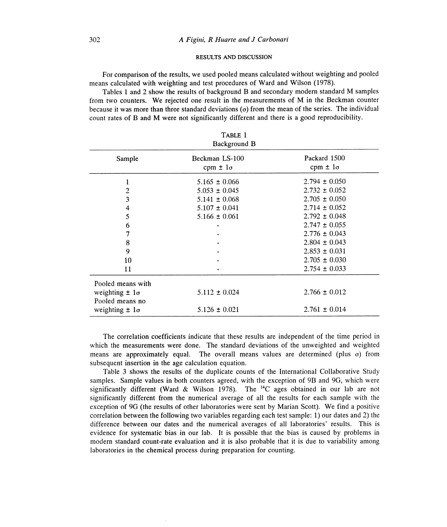# RESULTS AND DISCUSSION DISCUSSION

For comparison of the results, we used pooled means calculated without weighting and pooled means calculated with weighting and test procedures of Ward and Wilson (1978).

means calculated with weighting and test procedures of Ward and Wilson (1978).<br>Tables 1 and 2 show the results of background B and secondary modern standard M samples from two counters. We rejected one result in the measurements of M in the Beckman counter because it was more than three standard deviations  $(\sigma)$  from the mean of the series. The individual count rates of B and M were not significantly different and there is a good reproducibility.

| count rates of B and M were not significantly different and there is a good reproducibility.<br>TABLE 1<br>Background B |                                     |                                   |  |
|-------------------------------------------------------------------------------------------------------------------------|-------------------------------------|-----------------------------------|--|
| Sample                                                                                                                  | Beckman LS-100<br>$cpm \pm 1\sigma$ | Packard 1500<br>$cpm \pm 1\sigma$ |  |
| l                                                                                                                       | $5.165 \pm 0.066$                   | $2.794 \pm 0.050$                 |  |
| $\overline{c}$                                                                                                          | $5.053 \pm 0.045$                   | $2.732 \pm 0.052$                 |  |
| 3                                                                                                                       | $5.141 \pm 0.068$                   | $2.705 \pm 0.050$                 |  |
| $\overline{\mathbf{4}}$                                                                                                 | $5.107 \pm 0.041$                   | $2.714 \pm 0.052$                 |  |
| 5                                                                                                                       | $5.166 \pm 0.061$                   | $2.792 \pm 0.048$                 |  |
| 6                                                                                                                       |                                     | $2.747 \pm 0.055$                 |  |
| 7                                                                                                                       |                                     | $2.776 \pm 0.043$                 |  |
| 8                                                                                                                       |                                     | $2.804 \pm 0.043$                 |  |
| 9                                                                                                                       |                                     | $2.853 \pm 0.031$                 |  |
| 10                                                                                                                      |                                     | $2.705 \pm 0.030$                 |  |
| 11                                                                                                                      |                                     | $2.754 \pm 0.033$                 |  |
| Pooled means with                                                                                                       |                                     |                                   |  |
| weighting $\pm 1\sigma$<br>Pooled means no                                                                              | $5.112 \pm 0.024$                   | $2.766 \pm 0.012$                 |  |
| weighting $\pm 1\sigma$                                                                                                 | $5.126 \pm 0.021$                   | $2.761 \pm 0.014$                 |  |

The correlation coefficients indicate that these results are independent of the time period in which the measurements were done. The standard deviations of the unweighted and weighted means are approximately equal. The overall means values are determined (plus  $\sigma$ ) from subsequent insertion in the age calculation equation.

equent insertion in the age calculation equation.<br>Table 3 shows the results of the duplicate counts of the International Collaborative Study samples. Sample values in both counters agreed, with the exception of 9B and 9G, which were significantly different (Ward & Wilson 1978). The  $^{14}C$  ages obtained in our lab are not significantly different from the numerical average of all the results for each sample with the significantly different from the numerical average of all the results for each sample with the<br>exception of 9G (the results of other laboratories were sent by Marian Scott). We find a positive correlation between the following two variables regarding each test sample: 1) our dates and 2) the difference between our dates and the numerical averages of all laboratories' results. This is evidence for systematic bias in our lab. It is possible that the bias is caused by problems in modern standard count-rate evaluation and it is also probable that it is due to variability among laboratories in the chemical process during preparation for counting.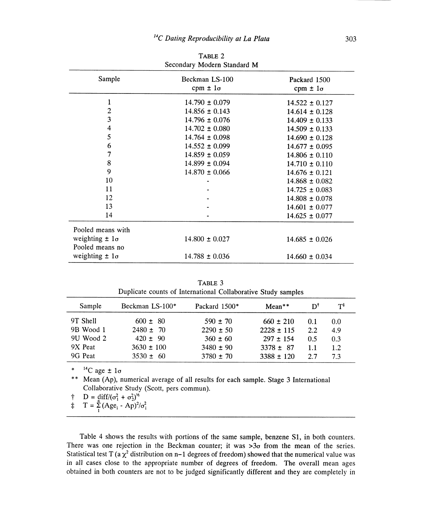| Secondary Modern Standard M |                                     |                                   |  |
|-----------------------------|-------------------------------------|-----------------------------------|--|
| Sample                      | Beckman LS-100<br>$cpm \pm 1\sigma$ | Packard 1500<br>$cpm \pm 1\sigma$ |  |
| $\mathbf{1}$                | $14.790 \pm 0.079$                  | $14.522 \pm 0.127$                |  |
| $\boldsymbol{2}$            | $14.856 \pm 0.143$                  | $14.614 \pm 0.128$                |  |
| 3                           | $14.796 \pm 0.076$                  | $14.409 \pm 0.133$                |  |
| 4                           | $14.702 \pm 0.080$                  | $14.509 \pm 0.133$                |  |
| 5                           | $14.764 \pm 0.098$                  | $14.690 \pm 0.128$                |  |
| 6                           | $14.552 \pm 0.099$                  | $14.677 \pm 0.095$                |  |
| 7                           | $14.859 \pm 0.059$                  | $14.806 \pm 0.110$                |  |
| 8                           | $14.899 \pm 0.094$                  | $14.710 \pm 0.110$                |  |
| 9                           | $14.870 \pm 0.066$                  | $14.676 \pm 0.121$                |  |
| 10                          |                                     | $14.868 \pm 0.082$                |  |
| 11                          |                                     | $14.725 \pm 0.083$                |  |
| 12                          |                                     | $14.808 \pm 0.078$                |  |
| 13                          |                                     | $14.601 \pm 0.077$                |  |
| 14                          |                                     | $14.625 \pm 0.077$                |  |
| Pooled means with           |                                     |                                   |  |
| weighting $\pm 1\sigma$     | $14.800 \pm 0.027$                  | $14.685 \pm 0.026$                |  |
| Pooled means no             |                                     |                                   |  |
| weighting $\pm 1\sigma$     | $14.788 \pm 0.036$                  | $14.660 \pm 0.034$                |  |

TABLE 2

| Duplicate counts of International Collaborative Study samples |                 |               |                |     |                |
|---------------------------------------------------------------|-----------------|---------------|----------------|-----|----------------|
| Sample                                                        | Beckman LS-100* | Packard 1500* | $Mean**$       | DТ  | $T^{\ddagger}$ |
| 9T Shell                                                      | $600 \pm 80$    | $590 \pm 70$  | $660 \pm 210$  | 0.1 | 0.0            |
| 9B Wood 1                                                     | $2480 \pm 70$   | $2290 \pm 50$ | $2228 \pm 115$ | 2.2 | 4.9            |
| 9U Wood 2                                                     | $420 \pm 90$    | $360 \pm 60$  | $297 \pm 154$  | 0.5 | 0.3            |
| 9X Peat                                                       | $3630 \pm 100$  | $3480 \pm 90$ | $3378 \pm 87$  | 1.1 | 1.2            |
| 9G Peat                                                       | $3530 \pm 60$   | $3780 \pm 70$ | $3388 \pm 120$ | 2.7 | 7.3            |

TABLE 3 3

\*  ${}^{14}C$  age  $\pm 1\sigma$ 

\*\* Mean (Ap), numerical average of all results for each sample. Stage 3 International Collaborative Study (Scott, pers commun).

 $\uparrow$  D = diff/( $\sigma_1^2 + \sigma_2^2$ )<sup>14</sup><br>  $\uparrow$  T =  $\sum_{1}^{n} (Age_i - Ap)^2/\sigma_i^2$ 

Table 4 shows the results with portions of the same sample, benzene S1, in both counters. There was one rejection in the Beckman counter; it was  $>3\sigma$  from the mean of the series. Statistical test T (a  $\chi^2$  distribution on n–1 degrees of freedom) showed that the numerical value was in all cases close to the appropriate number of degrees of freedom. The overall mean ages obtained in both counters are not to be judged significantly different and they are completely in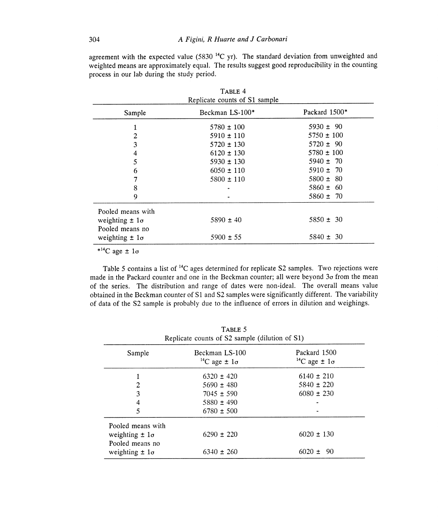agreement with the expected value (5830<sup>14</sup>C yr). The standard deviation from unweighted and weighted means are approximately equal. The results suggest good reproducibility in the counting process in our lab during the study period.

| TABLE 4<br>Replicate counts of S1 sample |                 |                |  |
|------------------------------------------|-----------------|----------------|--|
| Sample                                   | Beckman LS-100* | Packard 1500*  |  |
|                                          | $5780 \pm 100$  | $5930 \pm 90$  |  |
| 2                                        | $5910 \pm 110$  | $5750 \pm 100$ |  |
| 3                                        | $5720 \pm 130$  | $5720 \pm 90$  |  |
| 4                                        | $6120 \pm 130$  | $5780 \pm 100$ |  |
| 5                                        | $5930 \pm 130$  | $5940 \pm 70$  |  |
| 6                                        | $6050 \pm 110$  | $5910 \pm 70$  |  |
| 7                                        | $5800 \pm 110$  | $5800 \pm 80$  |  |
| 8                                        |                 | $5860 \pm 60$  |  |
| 9                                        |                 | $5860 \pm 70$  |  |
| Pooled means with                        |                 |                |  |
| weighting $\pm 1\sigma$                  | $5890 \pm 40$   | $5850 \pm 30$  |  |
| Pooled means no                          |                 |                |  |
| weighting $\pm 1\sigma$                  | $5900 \pm 55$   | $5840 \pm 30$  |  |
|                                          |                 |                |  |

 $*^{14}C$  age  $\pm 1\sigma$ 

Table 5 contains a list of <sup>14</sup>C ages determined for replicate S2 samples. Two rejections were made in the Packard counter and one in the Beckman counter; all were beyond  $3\sigma$  from the mean of the series. The distribution and range of dates were non-ideal. The overall means value obtained in the Beckman counter of S1 and S2 samples were significantly different. The variability of data of the S2 sample is probably due to the influence of errors in dilution and weighings.

| Sample                                     | Beckman LS-100<br><sup>14</sup> C age $\pm 1\sigma$ | Packard 1500<br><sup>14</sup> C age $\pm 1\sigma$ |
|--------------------------------------------|-----------------------------------------------------|---------------------------------------------------|
|                                            | $6320 \pm 420$                                      | $6140 \pm 210$                                    |
| 2                                          | $5690 \pm 480$                                      | $5840 \pm 220$                                    |
| 3                                          | $7045 \pm 590$                                      | $6080 \pm 230$                                    |
| 4                                          | $5880 \pm 490$                                      |                                                   |
| 5                                          | $6780 \pm 500$                                      |                                                   |
| Pooled means with                          |                                                     |                                                   |
| weighting $\pm 1\sigma$<br>Pooled means no | $6290 \pm 220$                                      | $6020 \pm 130$                                    |
| weighting $\pm 1\sigma$                    | $6340 \pm 260$                                      | $6020 \pm 90$                                     |